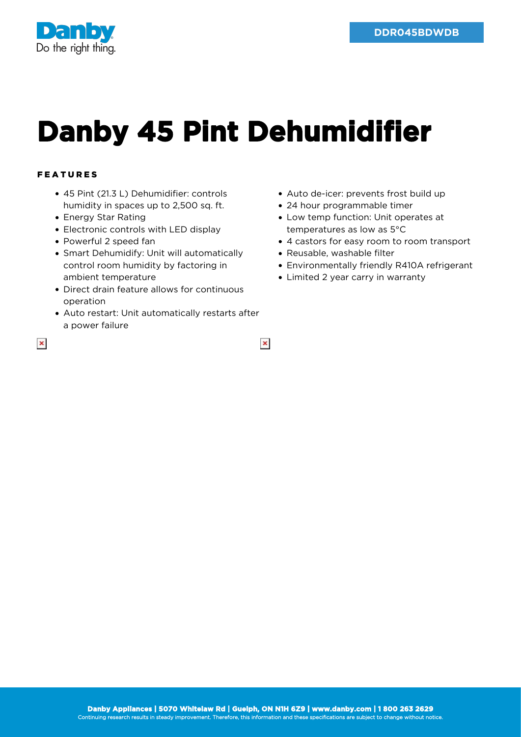

## **Danby 45 Pint Dehumidifier**

 $\pmb{\times}$ 

## FEATURES

- 45 Pint (21.3 L) Dehumidifier: controls humidity in spaces up to 2,500 sq. ft.
- Energy Star Rating
- Electronic controls with LED display
- Powerful 2 speed fan
- Smart Dehumidify: Unit will automatically control room humidity by factoring in ambient temperature
- Direct drain feature allows for continuous operation
- Auto restart: Unit automatically restarts after a power failure
- Auto de-icer: prevents frost build up
- 24 hour programmable timer
- Low temp function: Unit operates at temperatures as low as 5°C
- 4 castors for easy room to room transport
- Reusable, washable filter
- Environmentally friendly R410A refrigerant
- Limited 2 year carry in warranty

 $\pmb{\times}$